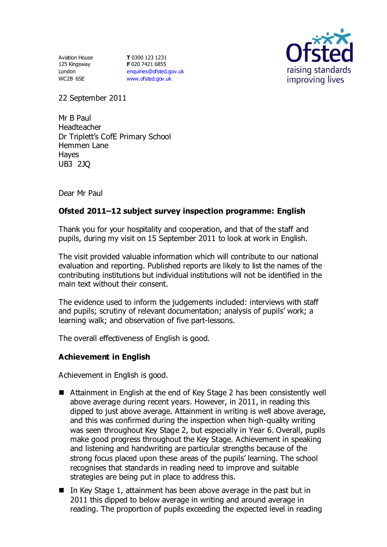Aviation House 125 Kingsway London WC2B 6SE

**T** 0300 123 1231 **F** 020 7421 6855 [enquiries@ofsted.gov.uk](mailto:enquiries@ofsted.gov.uk) [www.ofsted.gov.uk](http://www.ofsted.gov.uk/)



22 September 2011

Mr B Paul Headteacher Dr Triplett's CofE Primary School Hemmen Lane Hayes UB3 2JQ

Dear Mr Paul

# **Ofsted 2011–12 subject survey inspection programme: English**

Thank you for your hospitality and cooperation, and that of the staff and pupils, during my visit on 15 September 2011 to look at work in English.

The visit provided valuable information which will contribute to our national evaluation and reporting. Published reports are likely to list the names of the contributing institutions but individual institutions will not be identified in the main text without their consent.

The evidence used to inform the judgements included: interviews with staff and pupils; scrutiny of relevant documentation; analysis of pupils' work; a learning walk; and observation of five part-lessons.

The overall effectiveness of English is good.

## **Achievement in English**

Achievement in English is good.

- Attainment in English at the end of Key Stage 2 has been consistently well above average during recent years. However, in 2011, in reading this dipped to just above average. Attainment in writing is well above average, and this was confirmed during the inspection when high-quality writing was seen throughout Key Stage 2, but especially in Year 6. Overall, pupils make good progress throughout the Key Stage. Achievement in speaking and listening and handwriting are particular strengths because of the strong focus placed upon these areas of the pupils' learning. The school recognises that standards in reading need to improve and suitable strategies are being put in place to address this.
- In Key Stage 1, attainment has been above average in the past but in 2011 this dipped to below average in writing and around average in reading. The proportion of pupils exceeding the expected level in reading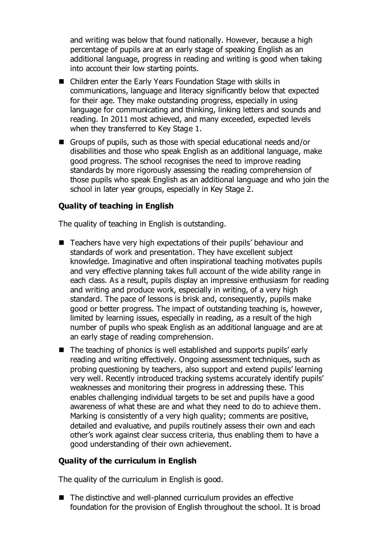and writing was below that found nationally. However, because a high percentage of pupils are at an early stage of speaking English as an additional language, progress in reading and writing is good when taking into account their low starting points.

- Children enter the Early Years Foundation Stage with skills in communications, language and literacy significantly below that expected for their age. They make outstanding progress, especially in using language for communicating and thinking, linking letters and sounds and reading. In 2011 most achieved, and many exceeded, expected levels when they transferred to Key Stage 1.
- Groups of pupils, such as those with special educational needs and/or disabilities and those who speak English as an additional language, make good progress. The school recognises the need to improve reading standards by more rigorously assessing the reading comprehension of those pupils who speak English as an additional language and who join the school in later year groups, especially in Key Stage 2.

## **Quality of teaching in English**

The quality of teaching in English is outstanding.

- Teachers have very high expectations of their pupils' behaviour and standards of work and presentation. They have excellent subject knowledge. Imaginative and often inspirational teaching motivates pupils and very effective planning takes full account of the wide ability range in each class. As a result, pupils display an impressive enthusiasm for reading and writing and produce work, especially in writing, of a very high standard. The pace of lessons is brisk and, consequently, pupils make good or better progress. The impact of outstanding teaching is, however, limited by learning issues, especially in reading, as a result of the high number of pupils who speak English as an additional language and are at an early stage of reading comprehension.
- The teaching of phonics is well established and supports pupils' early reading and writing effectively. Ongoing assessment techniques, such as probing questioning by teachers, also support and extend pupils' learning very well. Recently introduced tracking systems accurately identify pupils' weaknesses and monitoring their progress in addressing these. This enables challenging individual targets to be set and pupils have a good awareness of what these are and what they need to do to achieve them. Marking is consistently of a very high quality; comments are positive, detailed and evaluative, and pupils routinely assess their own and each other's work against clear success criteria, thus enabling them to have a good understanding of their own achievement.

#### **Quality of the curriculum in English**

The quality of the curriculum in English is good.

■ The distinctive and well-planned curriculum provides an effective foundation for the provision of English throughout the school. It is broad